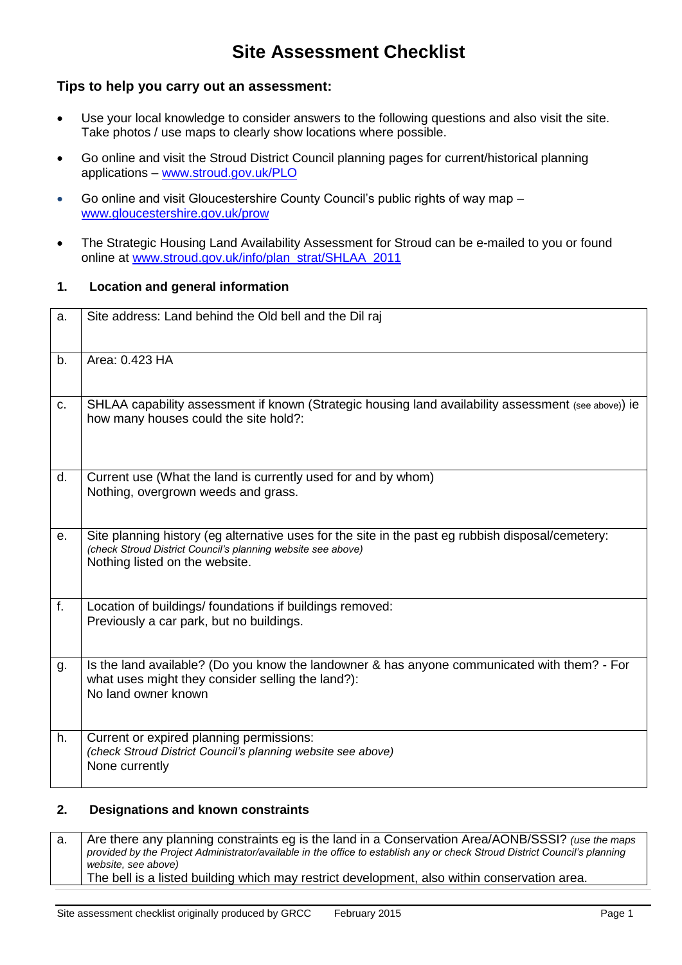# **Site Assessment Checklist**

#### **Tips to help you carry out an assessment:**

- Use your local knowledge to consider answers to the following questions and also visit the site. Take photos / use maps to clearly show locations where possible.
- Go online and visit the Stroud District Council planning pages for current/historical planning applications – [www.stroud.gov.uk/PLO](http://www.stroud.gov.uk/PLO)
- Go online and visit Gloucestershire County Council's public rights of way map [www.gloucestershire.gov.uk/prow](http://www.gloucestershire.gov.uk/prow)
- The Strategic Housing Land Availability Assessment for Stroud can be e-mailed to you or found online at [www.stroud.gov.uk/info/plan\\_strat/SHLAA\\_2011](http://www.stroud.gov.uk/info/plan_strat/SHLAA_2011)

#### **1. Location and general information**

| a.             | Site address: Land behind the Old bell and the Dil raj                                                                                                                                              |
|----------------|-----------------------------------------------------------------------------------------------------------------------------------------------------------------------------------------------------|
| b.             | Area: 0.423 HA                                                                                                                                                                                      |
| C.             | SHLAA capability assessment if known (Strategic housing land availability assessment (see above)) ie<br>how many houses could the site hold?:                                                       |
| d.             | Current use (What the land is currently used for and by whom)<br>Nothing, overgrown weeds and grass.                                                                                                |
| е.             | Site planning history (eg alternative uses for the site in the past eg rubbish disposal/cemetery:<br>(check Stroud District Council's planning website see above)<br>Nothing listed on the website. |
| f <sub>r</sub> | Location of buildings/ foundations if buildings removed:<br>Previously a car park, but no buildings.                                                                                                |
| g.             | Is the land available? (Do you know the landowner & has anyone communicated with them? - For<br>what uses might they consider selling the land?):<br>No land owner known                            |
| h.             | Current or expired planning permissions:<br>(check Stroud District Council's planning website see above)<br>None currently                                                                          |

#### **2. Designations and known constraints**

a. Are there any planning constraints eg is the land in a Conservation Area/AONB/SSSI? *(use the maps*) *provided by the Project Administrator/available in the office to establish any or check Stroud District Council's planning website, see above)* The bell is a listed building which may restrict development, also within conservation area.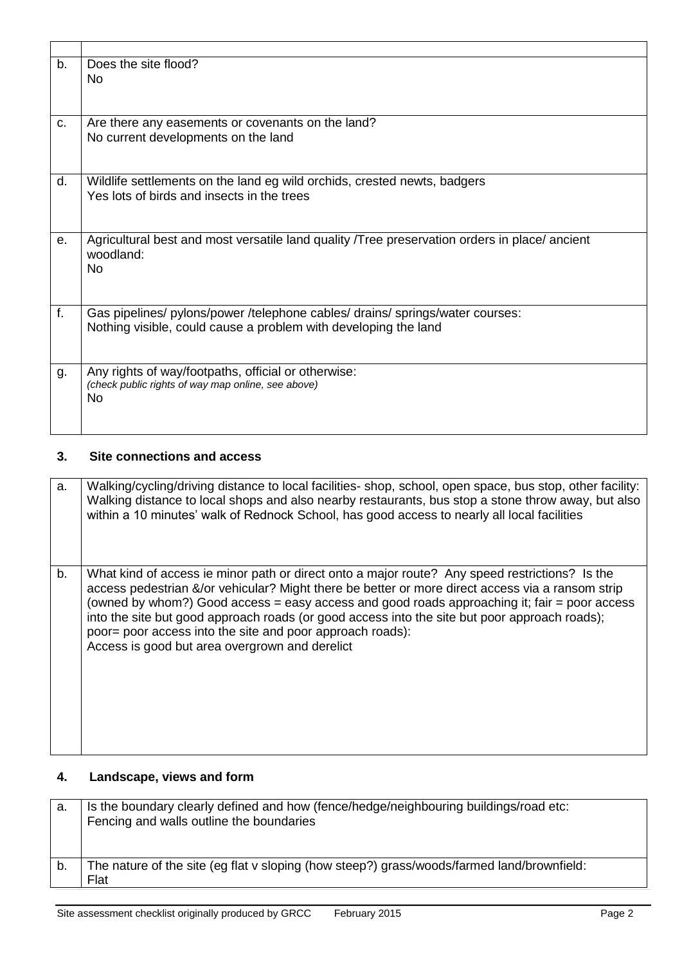| b. | Does the site flood?<br>N <sub>o</sub>                                                                                                           |
|----|--------------------------------------------------------------------------------------------------------------------------------------------------|
| C. | Are there any easements or covenants on the land?<br>No current developments on the land                                                         |
| d. | Wildlife settlements on the land eg wild orchids, crested newts, badgers<br>Yes lots of birds and insects in the trees                           |
| е. | Agricultural best and most versatile land quality Tree preservation orders in place/ancient<br>woodland:<br>No.                                  |
| f. | Gas pipelines/ pylons/power /telephone cables/ drains/ springs/water courses:<br>Nothing visible, could cause a problem with developing the land |
| g. | Any rights of way/footpaths, official or otherwise:<br>(check public rights of way map online, see above)<br>No                                  |

### **3. Site connections and access**

| a. | Walking/cycling/driving distance to local facilities- shop, school, open space, bus stop, other facility:<br>Walking distance to local shops and also nearby restaurants, bus stop a stone throw away, but also<br>within a 10 minutes' walk of Rednock School, has good access to nearly all local facilities                                                                                                                                                                                                     |
|----|--------------------------------------------------------------------------------------------------------------------------------------------------------------------------------------------------------------------------------------------------------------------------------------------------------------------------------------------------------------------------------------------------------------------------------------------------------------------------------------------------------------------|
| b. | What kind of access ie minor path or direct onto a major route? Any speed restrictions? Is the<br>access pedestrian &/or vehicular? Might there be better or more direct access via a ransom strip<br>(owned by whom?) Good access = easy access and good roads approaching it; fair = poor access<br>into the site but good approach roads (or good access into the site but poor approach roads);<br>poor= poor access into the site and poor approach roads):<br>Access is good but area overgrown and derelict |

### **4. Landscape, views and form**

| а. | Is the boundary clearly defined and how (fence/hedge/neighbouring buildings/road etc:<br>Fencing and walls outline the boundaries |
|----|-----------------------------------------------------------------------------------------------------------------------------------|
| b. | The nature of the site (eg flat v sloping (how steep?) grass/woods/farmed land/brownfield:                                        |
|    | Flat                                                                                                                              |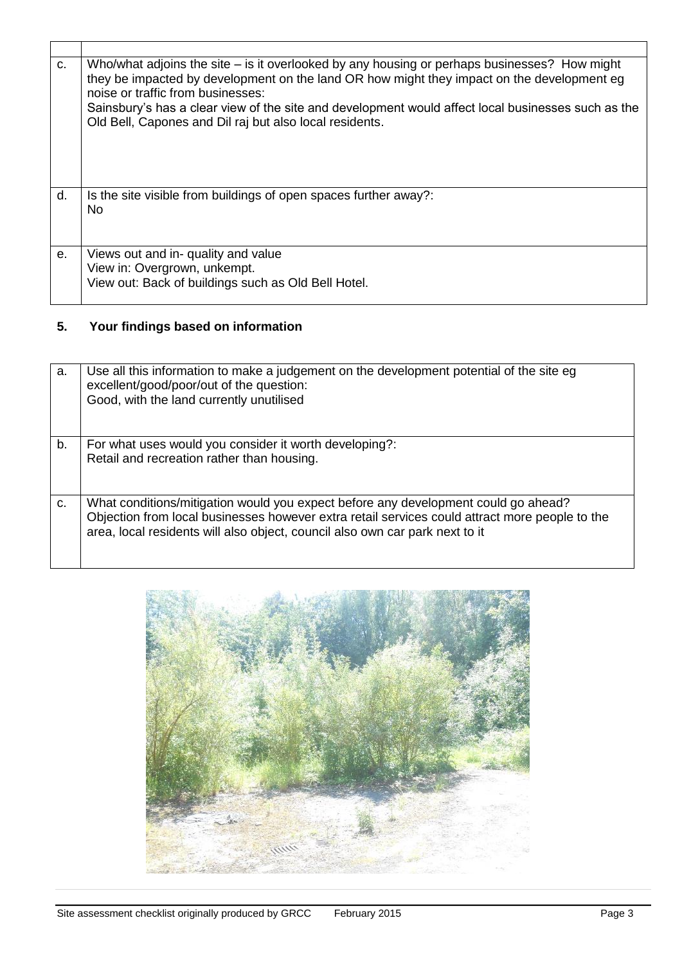| C <sub>1</sub> | Who/what adjoins the site $-$ is it overlooked by any housing or perhaps businesses? How might<br>they be impacted by development on the land OR how might they impact on the development eg<br>noise or traffic from businesses:<br>Sainsbury's has a clear view of the site and development would affect local businesses such as the<br>Old Bell, Capones and Dil raj but also local residents. |
|----------------|----------------------------------------------------------------------------------------------------------------------------------------------------------------------------------------------------------------------------------------------------------------------------------------------------------------------------------------------------------------------------------------------------|
| d.             | Is the site visible from buildings of open spaces further away?:<br>No.                                                                                                                                                                                                                                                                                                                            |
| е.             | Views out and in- quality and value<br>View in: Overgrown, unkempt.<br>View out: Back of buildings such as Old Bell Hotel.                                                                                                                                                                                                                                                                         |

## **5. Your findings based on information**

| a. | Use all this information to make a judgement on the development potential of the site eg<br>excellent/good/poor/out of the question:<br>Good, with the land currently unutilised |
|----|----------------------------------------------------------------------------------------------------------------------------------------------------------------------------------|
| b. | For what uses would you consider it worth developing?:                                                                                                                           |
|    |                                                                                                                                                                                  |
|    | Retail and recreation rather than housing.                                                                                                                                       |
|    |                                                                                                                                                                                  |
|    |                                                                                                                                                                                  |
|    |                                                                                                                                                                                  |
| C. | What conditions/mitigation would you expect before any development could go ahead?                                                                                               |
|    | Objection from local businesses however extra retail services could attract more people to the                                                                                   |
|    |                                                                                                                                                                                  |
|    | area, local residents will also object, council also own car park next to it                                                                                                     |
|    |                                                                                                                                                                                  |
|    |                                                                                                                                                                                  |
|    |                                                                                                                                                                                  |